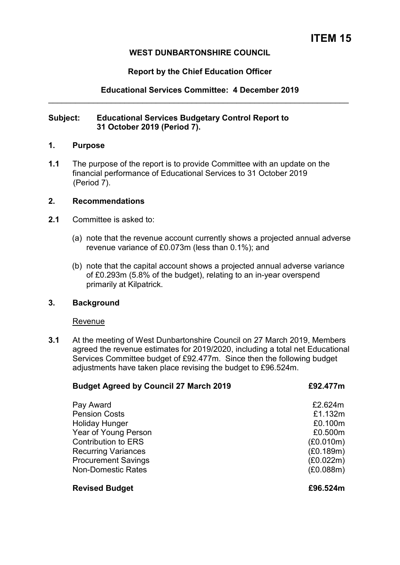## **WEST DUNBARTONSHIRE COUNCIL**

### **Report by the Chief Education Officer**

## **Educational Services Committee: 4 December 2019**  \_\_\_\_\_\_\_\_\_\_\_\_\_\_\_\_\_\_\_\_\_\_\_\_\_\_\_\_\_\_\_\_\_\_\_\_\_\_\_\_\_\_\_\_\_\_\_\_\_\_\_\_\_\_\_\_\_\_\_\_\_\_\_\_\_\_\_

#### **Subject: Educational Services Budgetary Control Report to 31 October 2019 (Period 7).**

#### **1. Purpose**

**1.1** The purpose of the report is to provide Committee with an update on the financial performance of Educational Services to 31 October 2019 (Period 7).

#### **2. Recommendations**

- **2.1** Committee is asked to:
	- (a) note that the revenue account currently shows a projected annual adverse revenue variance of £0.073m (less than 0.1%); and
	- (b) note that the capital account shows a projected annual adverse variance of £0.293m (5.8% of the budget), relating to an in-year overspend primarily at Kilpatrick.

### **3. Background**

#### Revenue

**3.1** At the meeting of West Dunbartonshire Council on 27 March 2019, Members agreed the revenue estimates for 2019/2020, including a total net Educational Services Committee budget of £92.477m. Since then the following budget adjustments have taken place revising the budget to £96.524m.

| <b>Budget Agreed by Council 27 March 2019</b> | £92.477m  |  |
|-----------------------------------------------|-----------|--|
| Pay Award                                     | £2.624m   |  |
| <b>Pension Costs</b>                          | £1.132m   |  |
| Holiday Hunger                                | £0.100m   |  |
| Year of Young Person                          | £0.500m   |  |
| <b>Contribution to ERS</b>                    | (E0.010m) |  |
| <b>Recurring Variances</b>                    | (£0.189m) |  |
| <b>Procurement Savings</b>                    | (E0.022m) |  |
| <b>Non-Domestic Rates</b>                     | (E0.088m) |  |
| <b>Revised Budget</b>                         | £96.524m  |  |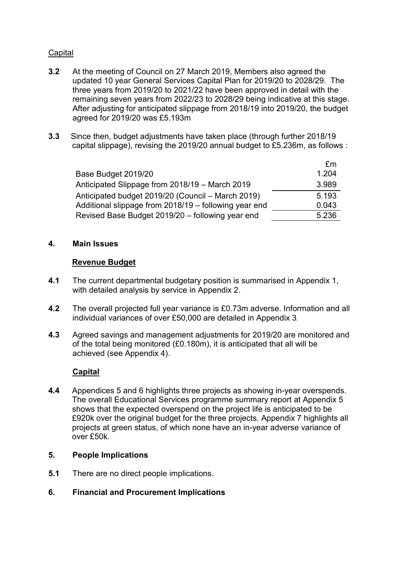# **Capital**

- **3.2** At the meeting of Council on 27 March 2019, Members also agreed the updated 10 year General Services Capital Plan for 2019/20 to 2028/29. The three years from 2019/20 to 2021/22 have been approved in detail with the remaining seven years from 2022/23 to 2028/29 being indicative at this stage. After adjusting for anticipated slippage from 2018/19 into 2019/20, the budget agreed for 2019/20 was £5.193m
- **3.3** Since then, budget adjustments have taken place (through further 2018/19 capital slippage), revising the 2019/20 annual budget to £5.236m, as follows :

|                                                       | £m    |
|-------------------------------------------------------|-------|
| Base Budget 2019/20                                   | 1.204 |
| Anticipated Slippage from 2018/19 – March 2019        | 3.989 |
| Anticipated budget 2019/20 (Council – March 2019)     | 5.193 |
| Additional slippage from 2018/19 - following year end | 0.043 |
| Revised Base Budget 2019/20 - following year end      | 5.236 |

### **4. Main Issues**

### **Revenue Budget**

- **4.1** The current departmental budgetary position is summarised in Appendix 1, with detailed analysis by service in Appendix 2.
- **4.2** The overall projected full year variance is £0.73m adverse. Information and all individual variances of over £50,000 are detailed in Appendix 3.
- **4.3** Agreed savings and management adjustments for 2019/20 are monitored and of the total being monitored (£0.180m), it is anticipated that all will be achieved (see Appendix 4).

### **Capital**

**4.4** Appendices 5 and 6 highlights three projects as showing in-year overspends. The overall Educational Services programme summary report at Appendix 5 shows that the expected overspend on the project life is anticipated to be £920k over the original budget for the three projects. Appendix 7 highlights all projects at green status, of which none have an in-year adverse variance of over £50k.

### **5. People Implications**

- **5.1** There are no direct people implications.
- **6. Financial and Procurement Implications**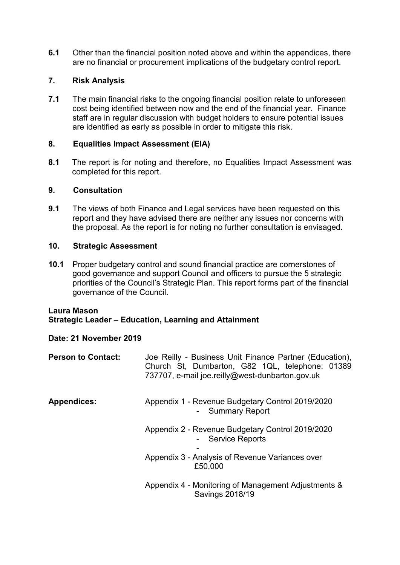**6.1** Other than the financial position noted above and within the appendices, there are no financial or procurement implications of the budgetary control report.

# **7. Risk Analysis**

**7.1** The main financial risks to the ongoing financial position relate to unforeseen cost being identified between now and the end of the financial year. Finance staff are in regular discussion with budget holders to ensure potential issues are identified as early as possible in order to mitigate this risk.

## **8. Equalities Impact Assessment (EIA)**

**8.1** The report is for noting and therefore, no Equalities Impact Assessment was completed for this report.

### **9. Consultation**

**9.1** The views of both Finance and Legal services have been requested on this report and they have advised there are neither any issues nor concerns with the proposal. As the report is for noting no further consultation is envisaged.

### **10. Strategic Assessment**

**10.1** Proper budgetary control and sound financial practice are cornerstones of good governance and support Council and officers to pursue the 5 strategic priorities of the Council's Strategic Plan. This report forms part of the financial governance of the Council.

### **Laura Mason Strategic Leader – Education, Learning and Attainment**

### **Date: 21 November 2019**

| <b>Person to Contact:</b> | Joe Reilly - Business Unit Finance Partner (Education),<br>Church St, Dumbarton, G82 1QL, telephone: 01389<br>737707, e-mail joe.reilly@west-dunbarton.gov.uk |
|---------------------------|---------------------------------------------------------------------------------------------------------------------------------------------------------------|
| <b>Appendices:</b>        | Appendix 1 - Revenue Budgetary Control 2019/2020<br>- Summary Report                                                                                          |
|                           | Appendix 2 - Revenue Budgetary Control 2019/2020<br>- Service Reports                                                                                         |
|                           | Appendix 3 - Analysis of Revenue Variances over<br>£50,000                                                                                                    |
|                           | Appendix 4 - Monitoring of Management Adjustments &<br>Savings 2018/19                                                                                        |